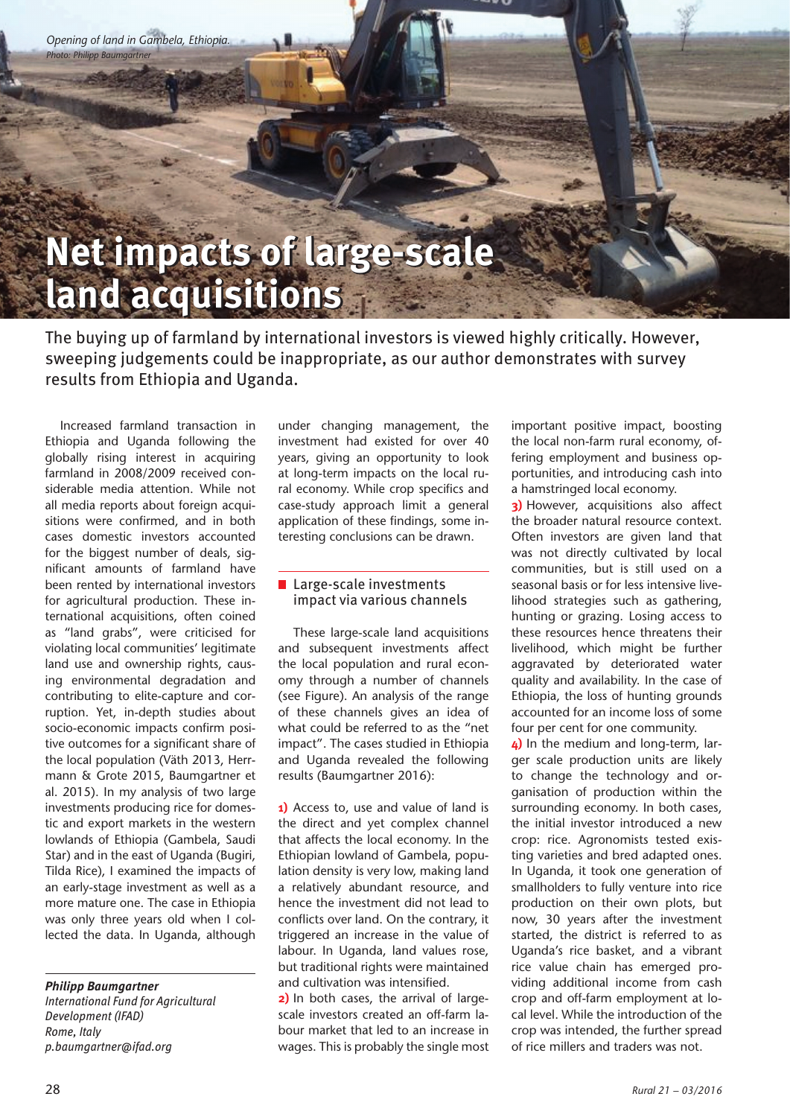**Opening of land in Gambela, Ethiopia.**<br>Photo: Philipp Baumgartner *Photo: Philipp Baumgartner*

## **Net impacts of large-scale Net impacts of large-scale land acquisitions land acquisitions**

The buying up of farmland by international investors is viewed highly critically. However, sweeping judgements could be inappropriate, as our author demonstrates with survey results from Ethiopia and Uganda.

Increased farmland transaction in Ethiopia and Uganda following the globally rising interest in acquiring farmland in 2008/2009 received considerable media attention. While not all media reports about foreign acquisitions were confirmed, and in both cases domestic investors accounted for the biggest number of deals, significant amounts of farmland have been rented by international investors for agricultural production. These international acquisitions, often coined as "land grabs", were criticised for violating local communities' legitimate land use and ownership rights, causing environmental degradation and contributing to elite-capture and corruption. Yet, in-depth studies about socio-economic impacts confirm positive outcomes for a significant share of the local population (Väth 2013, Herrmann & Grote 2015, Baumgartner et al. 2015). In my analysis of two large investments producing rice for domestic and export markets in the western lowlands of Ethiopia (Gambela, Saudi Star) and in the east of Uganda (Bugiri, Tilda Rice), I examined the impacts of an early-stage investment as well as a more mature one. The case in Ethiopia was only three years old when I collected the data. In Uganda, although

*Philipp Baumgartner*

*International Fund for Agricultural Development (IFAD) Rome, Italy p.baumgartner@ifad.org*

under changing management, the investment had existed for over 40 years, giving an opportunity to look at long-term impacts on the local rural economy. While crop specifics and case-study approach limit a general application of these findings, some interesting conclusions can be drawn.

## ■ Large-scale investments impact via various channels

These large-scale land acquisitions and subsequent investments affect the local population and rural economy through a number of channels (see Figure). An analysis of the range of these channels gives an idea of what could be referred to as the "net impact". The cases studied in Ethiopia and Uganda revealed the following results (Baumgartner 2016):

**1)** Access to, use and value of land is the direct and yet complex channel that affects the local economy. In the Ethiopian lowland of Gambela, population density is very low, making land a relatively abundant resource, and hence the investment did not lead to conflicts over land. On the contrary, it triggered an increase in the value of labour. In Uganda, land values rose, but traditional rights were maintained and cultivation was intensified.

**2)** In both cases, the arrival of largescale investors created an off-farm labour market that led to an increase in wages. This is probably the single most important positive impact, boosting the local non-farm rural economy, offering employment and business opportunities, and introducing cash into a hamstringed local economy.

**3**) However, acquisitions also affect the broader natural resource context. Often investors are given land that was not directly cultivated by local communities, but is still used on a seasonal basis or for less intensive livelihood strategies such as gathering, hunting or grazing. Losing access to these resources hence threatens their livelihood, which might be further aggravated by deteriorated water quality and availability. In the case of Ethiopia, the loss of hunting grounds accounted for an income loss of some four per cent for one community.

**4)** In the medium and long-term, larger scale production units are likely to change the technology and organisation of production within the surrounding economy. In both cases, the initial investor introduced a new crop: rice. Agronomists tested existing varieties and bred adapted ones. In Uganda, it took one generation of smallholders to fully venture into rice production on their own plots, but now, 30 years after the investment started, the district is referred to as Uganda's rice basket, and a vibrant rice value chain has emerged providing additional income from cash crop and off-farm employment at local level. While the introduction of the crop was intended, the further spread of rice millers and traders was not.